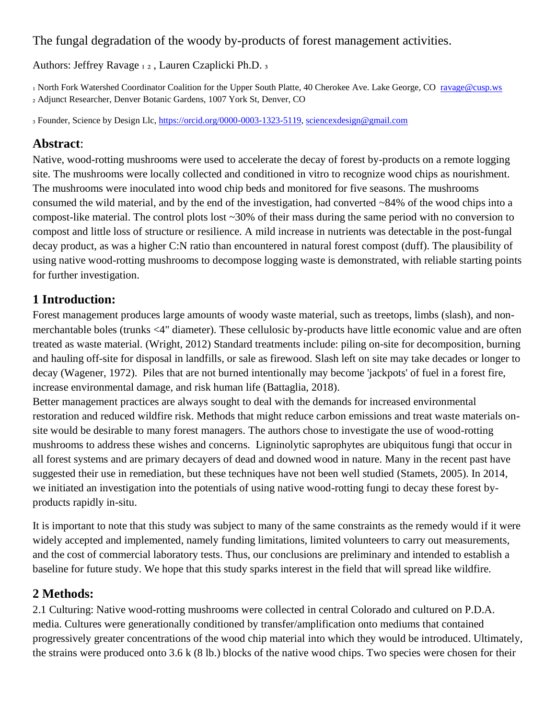### The fungal degradation of the woody by-products of forest management activities.

Authors: Jeffrey Ravage 12, Lauren Czaplicki Ph.D. 3

<sup>1</sup> North Fork Watershed Coordinator Coalition for the Upper South Platte, 40 Cherokee Ave. Lake George, CO <ravage@cusp.ws> ₂ Adjunct Researcher, Denver Botanic Gardens, 1007 York St, Denver, CO

₃ Founder, Science by Design Llc, [https://orcid.org/0000-0003-1323-5119,](https://orcid.org/0000-0003-1323-5119)<sciencexdesign@gmail.com>

# **Abstract**:

Native, wood-rotting mushrooms were used to accelerate the decay of forest by-products on a remote logging site. The mushrooms were locally collected and conditioned in vitro to recognize wood chips as nourishment. The mushrooms were inoculated into wood chip beds and monitored for five seasons. The mushrooms consumed the wild material, and by the end of the investigation, had converted ~84% of the wood chips into a compost-like material. The control plots lost ~30% of their mass during the same period with no conversion to compost and little loss of structure or resilience. A mild increase in nutrients was detectable in the post-fungal decay product, as was a higher C:N ratio than encountered in natural forest compost (duff). The plausibility of using native wood-rotting mushrooms to decompose logging waste is demonstrated, with reliable starting points for further investigation.

# **1 Introduction:**

Forest management produces large amounts of woody waste material, such as treetops, limbs (slash), and nonmerchantable boles (trunks <4" diameter). These cellulosic by-products have little economic value and are often treated as waste material. (Wright, 2012) Standard treatments include: piling on-site for decomposition, burning and hauling off-site for disposal in landfills, or sale as firewood. Slash left on site may take decades or longer to decay (Wagener, 1972). Piles that are not burned intentionally may become 'jackpots' of fuel in a forest fire, increase environmental damage, and risk human life (Battaglia, 2018).

Better management practices are always sought to deal with the demands for increased environmental restoration and reduced wildfire risk. Methods that might reduce carbon emissions and treat waste materials onsite would be desirable to many forest managers. The authors chose to investigate the use of wood-rotting mushrooms to address these wishes and concerns. Ligninolytic saprophytes are ubiquitous fungi that occur in all forest systems and are primary decayers of dead and downed wood in nature. Many in the recent past have suggested their use in remediation, but these techniques have not been well studied (Stamets, 2005). In 2014, we initiated an investigation into the potentials of using native wood-rotting fungi to decay these forest byproducts rapidly in-situ.

It is important to note that this study was subject to many of the same constraints as the remedy would if it were widely accepted and implemented, namely funding limitations, limited volunteers to carry out measurements, and the cost of commercial laboratory tests. Thus, our conclusions are preliminary and intended to establish a baseline for future study. We hope that this study sparks interest in the field that will spread like wildfire.

# **2 Methods:**

2.1 Culturing: Native wood-rotting mushrooms were collected in central Colorado and cultured on P.D.A. media. Cultures were generationally conditioned by transfer/amplification onto mediums that contained progressively greater concentrations of the wood chip material into which they would be introduced. Ultimately, the strains were produced onto 3.6 k (8 lb.) blocks of the native wood chips. Two species were chosen for their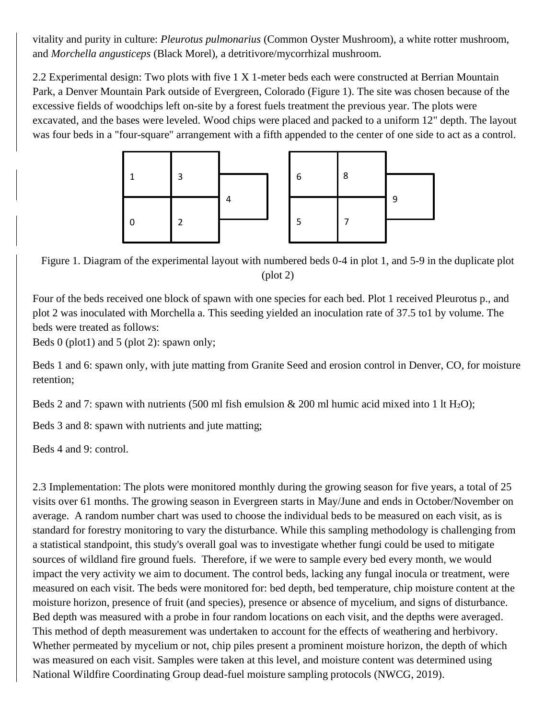vitality and purity in culture: *Pleurotus pulmonarius* (Common Oyster Mushroom), a white rotter mushroom, and *Morchella angusticeps* (Black Morel), a detritivore/mycorrhizal mushroom.

2.2 Experimental design: Two plots with five 1 X 1-meter beds each were constructed at Berrian Mountain Park, a Denver Mountain Park outside of Evergreen, Colorado (Figure 1). The site was chosen because of the excessive fields of woodchips left on-site by a forest fuels treatment the previous year. The plots were excavated, and the bases were leveled. Wood chips were placed and packed to a uniform 12" depth. The layout was four beds in a "four-square" arrangement with a fifth appended to the center of one side to act as a control.



Figure 1. Diagram of the experimental layout with numbered beds 0-4 in plot 1, and 5-9 in the duplicate plot (plot 2)

Four of the beds received one block of spawn with one species for each bed. Plot 1 received Pleurotus p., and plot 2 was inoculated with Morchella a. This seeding yielded an inoculation rate of 37.5 to1 by volume. The beds were treated as follows:

Beds  $0$  (plot1) and  $5$  (plot 2): spawn only;

Beds 1 and 6: spawn only, with jute matting from Granite Seed and erosion control in Denver, CO, for moisture retention;

Beds 2 and 7: spawn with nutrients (500 ml fish emulsion  $& 200$  ml humic acid mixed into 1 lt H<sub>2</sub>O);

Beds 3 and 8: spawn with nutrients and jute matting;

Beds 4 and 9: control.

2.3 Implementation: The plots were monitored monthly during the growing season for five years, a total of 25 visits over 61 months. The growing season in Evergreen starts in May/June and ends in October/November on average. A random number chart was used to choose the individual beds to be measured on each visit, as is standard for forestry monitoring to vary the disturbance. While this sampling methodology is challenging from a statistical standpoint, this study's overall goal was to investigate whether fungi could be used to mitigate sources of wildland fire ground fuels. Therefore, if we were to sample every bed every month, we would impact the very activity we aim to document. The control beds, lacking any fungal inocula or treatment, were measured on each visit. The beds were monitored for: bed depth, bed temperature, chip moisture content at the moisture horizon, presence of fruit (and species), presence or absence of mycelium, and signs of disturbance. Bed depth was measured with a probe in four random locations on each visit, and the depths were averaged. This method of depth measurement was undertaken to account for the effects of weathering and herbivory. Whether permeated by mycelium or not, chip piles present a prominent moisture horizon, the depth of which was measured on each visit. Samples were taken at this level, and moisture content was determined using National Wildfire Coordinating Group dead-fuel moisture sampling protocols (NWCG, 2019).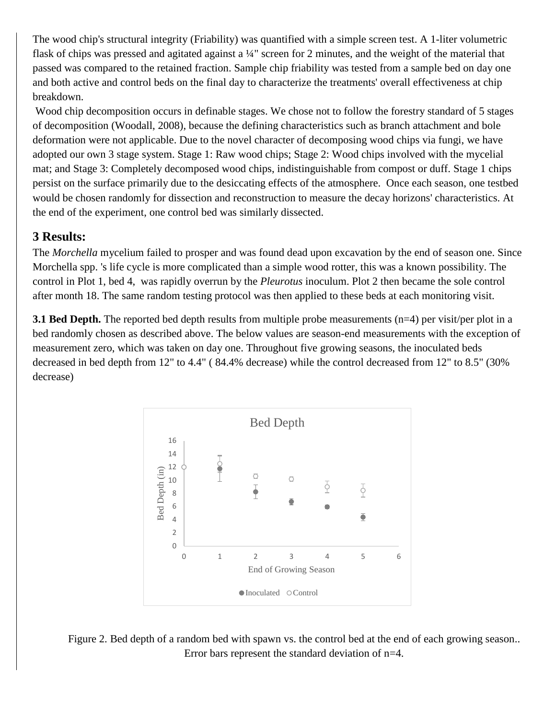The wood chip's structural integrity (Friability) was quantified with a simple screen test. A 1-liter volumetric flask of chips was pressed and agitated against a  $\frac{1}{4}$ " screen for 2 minutes, and the weight of the material that passed was compared to the retained fraction. Sample chip friability was tested from a sample bed on day one and both active and control beds on the final day to characterize the treatments' overall effectiveness at chip breakdown.

Wood chip decomposition occurs in definable stages. We chose not to follow the forestry standard of 5 stages of decomposition (Woodall, 2008), because the defining characteristics such as branch attachment and bole deformation were not applicable. Due to the novel character of decomposing wood chips via fungi, we have adopted our own 3 stage system. Stage 1: Raw wood chips; Stage 2: Wood chips involved with the mycelial mat; and Stage 3: Completely decomposed wood chips, indistinguishable from compost or duff. Stage 1 chips persist on the surface primarily due to the desiccating effects of the atmosphere. Once each season, one testbed would be chosen randomly for dissection and reconstruction to measure the decay horizons' characteristics. At the end of the experiment, one control bed was similarly dissected.

### **3 Results:**

The *Morchella* mycelium failed to prosper and was found dead upon excavation by the end of season one. Since Morchella spp. 's life cycle is more complicated than a simple wood rotter, this was a known possibility. The control in Plot 1, bed 4, was rapidly overrun by the *Pleurotus* inoculum. Plot 2 then became the sole control after month 18. The same random testing protocol was then applied to these beds at each monitoring visit.

**3.1 Bed Depth.** The reported bed depth results from multiple probe measurements (n=4) per visit/per plot in a bed randomly chosen as described above. The below values are season-end measurements with the exception of measurement zero, which was taken on day one. Throughout five growing seasons, the inoculated beds decreased in bed depth from 12" to 4.4" ( 84.4% decrease) while the control decreased from 12" to 8.5" (30% decrease)



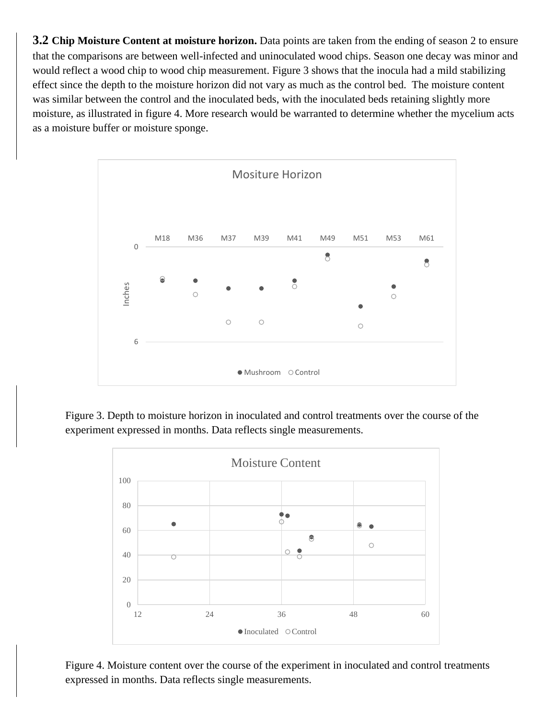**3.2 Chip Moisture Content at moisture horizon.** Data points are taken from the ending of season 2 to ensure that the comparisons are between well-infected and uninoculated wood chips. Season one decay was minor and would reflect a wood chip to wood chip measurement. Figure 3 shows that the inocula had a mild stabilizing effect since the depth to the moisture horizon did not vary as much as the control bed. The moisture content was similar between the control and the inoculated beds, with the inoculated beds retaining slightly more moisture, as illustrated in figure 4. More research would be warranted to determine whether the mycelium acts as a moisture buffer or moisture sponge.



Figure 3. Depth to moisture horizon in inoculated and control treatments over the course of the experiment expressed in months. Data reflects single measurements.



Figure 4. Moisture content over the course of the experiment in inoculated and control treatments expressed in months. Data reflects single measurements.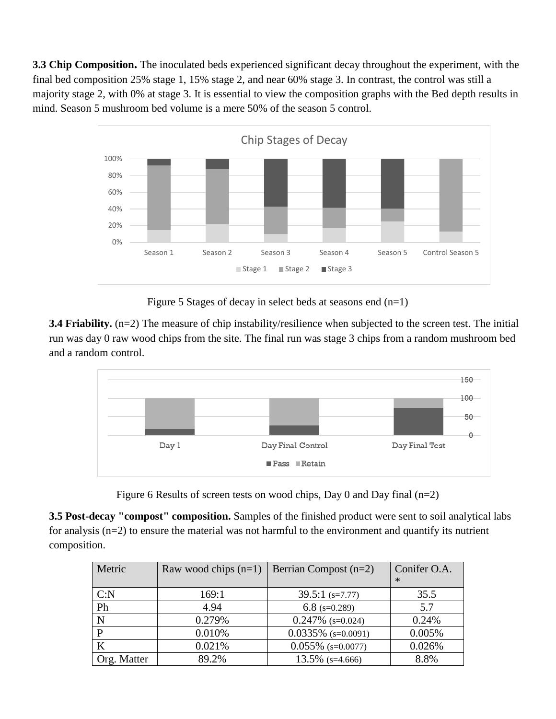**3.3 Chip Composition.** The inoculated beds experienced significant decay throughout the experiment, with the final bed composition 25% stage 1, 15% stage 2, and near 60% stage 3. In contrast, the control was still a majority stage 2, with 0% at stage 3. It is essential to view the composition graphs with the Bed depth results in mind. Season 5 mushroom bed volume is a mere 50% of the season 5 control.



Figure 5 Stages of decay in select beds at seasons end  $(n=1)$ 

**3.4 Friability.** (n=2) The measure of chip instability/resilience when subjected to the screen test. The initial run was day 0 raw wood chips from the site. The final run was stage 3 chips from a random mushroom bed and a random control.



Figure 6 Results of screen tests on wood chips, Day 0 and Day final (n=2)

**3.5 Post-decay "compost" composition.** Samples of the finished product were sent to soil analytical labs for analysis (n=2) to ensure the material was not harmful to the environment and quantify its nutrient composition.

| Metric      | Raw wood chips $(n=1)$ | Berrian Compost $(n=2)$ | Conifer O.A.<br>$*$ |
|-------------|------------------------|-------------------------|---------------------|
| C: N        | 169:1                  | $39.5:1$ (s=7.77)       | 35.5                |
| Ph          | 4.94                   | 6.8 $(s=0.289)$         | 5.7                 |
| N           | 0.279%                 | $0.247\%$ (s=0.024)     | 0.24%               |
| D           | 0.010%                 | $0.0335\%$ (s=0.0091)   | 0.005%              |
| K           | 0.021%                 | $0.055\%$ (s=0.0077)    | 0.026%              |
| Org. Matter | 89.2%                  | $13.5\%$ (s=4.666)      | 8.8%                |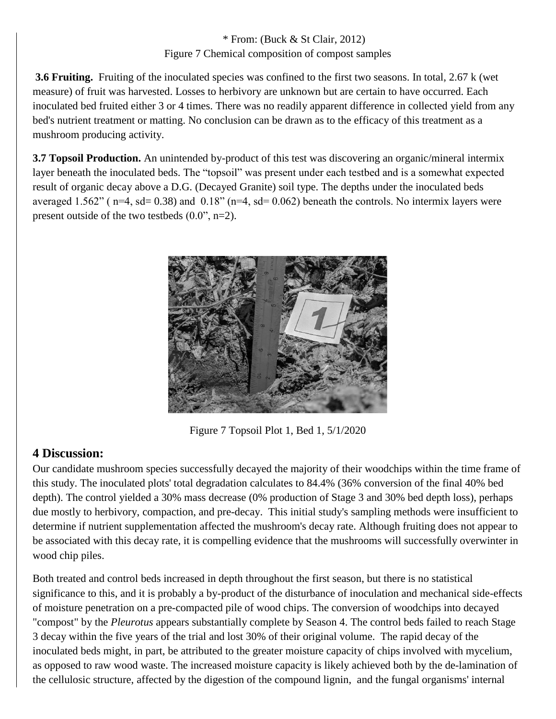#### \* From: (Buck & St Clair, 2012) Figure 7 Chemical composition of compost samples

**3.6 Fruiting.** Fruiting of the inoculated species was confined to the first two seasons. In total, 2.67 k (wet measure) of fruit was harvested. Losses to herbivory are unknown but are certain to have occurred. Each inoculated bed fruited either 3 or 4 times. There was no readily apparent difference in collected yield from any bed's nutrient treatment or matting. No conclusion can be drawn as to the efficacy of this treatment as a mushroom producing activity.

**3.7 Topsoil Production.** An unintended by-product of this test was discovering an organic/mineral intermix layer beneath the inoculated beds. The "topsoil" was present under each testbed and is a somewhat expected result of organic decay above a D.G. (Decayed Granite) soil type. The depths under the inoculated beds averaged 1.562" ( $n=4$ ,  $sd= 0.38$ ) and  $0.18$ " ( $n=4$ ,  $sd= 0.062$ ) beneath the controls. No intermix layers were present outside of the two testbeds  $(0.0$ ", n=2).



Figure 7 Topsoil Plot 1, Bed 1, 5/1/2020

# **4 Discussion:**

Our candidate mushroom species successfully decayed the majority of their woodchips within the time frame of this study. The inoculated plots' total degradation calculates to 84.4% (36% conversion of the final 40% bed depth). The control yielded a 30% mass decrease (0% production of Stage 3 and 30% bed depth loss), perhaps due mostly to herbivory, compaction, and pre-decay. This initial study's sampling methods were insufficient to determine if nutrient supplementation affected the mushroom's decay rate. Although fruiting does not appear to be associated with this decay rate, it is compelling evidence that the mushrooms will successfully overwinter in wood chip piles.

Both treated and control beds increased in depth throughout the first season, but there is no statistical significance to this, and it is probably a by-product of the disturbance of inoculation and mechanical side-effects of moisture penetration on a pre-compacted pile of wood chips. The conversion of woodchips into decayed "compost" by the *Pleurotus* appears substantially complete by Season 4. The control beds failed to reach Stage 3 decay within the five years of the trial and lost 30% of their original volume. The rapid decay of the inoculated beds might, in part, be attributed to the greater moisture capacity of chips involved with mycelium, as opposed to raw wood waste. The increased moisture capacity is likely achieved both by the de-lamination of the cellulosic structure, affected by the digestion of the compound lignin, and the fungal organisms' internal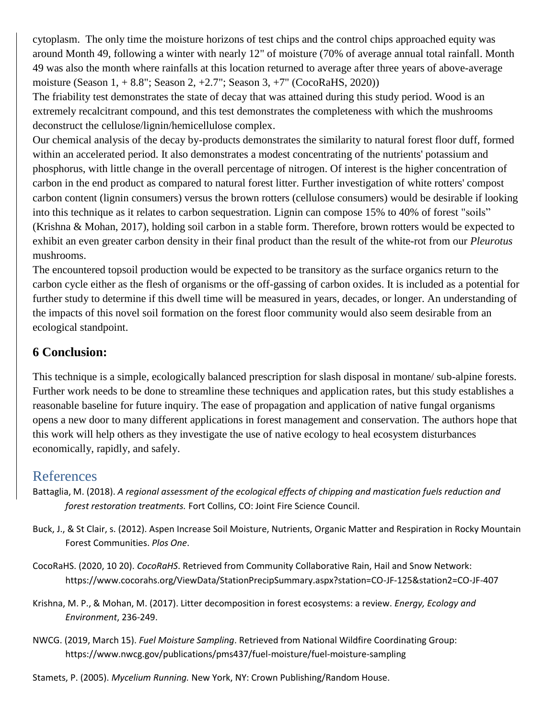cytoplasm. The only time the moisture horizons of test chips and the control chips approached equity was around Month 49, following a winter with nearly 12" of moisture (70% of average annual total rainfall. Month 49 was also the month where rainfalls at this location returned to average after three years of above-average moisture (Season 1, + 8.8"; Season 2, +2.7"; Season 3, +7" (CocoRaHS, 2020))

The friability test demonstrates the state of decay that was attained during this study period. Wood is an extremely recalcitrant compound, and this test demonstrates the completeness with which the mushrooms deconstruct the cellulose/lignin/hemicellulose complex.

Our chemical analysis of the decay by-products demonstrates the similarity to natural forest floor duff, formed within an accelerated period. It also demonstrates a modest concentrating of the nutrients' potassium and phosphorus, with little change in the overall percentage of nitrogen. Of interest is the higher concentration of carbon in the end product as compared to natural forest litter. Further investigation of white rotters' compost carbon content (lignin consumers) versus the brown rotters (cellulose consumers) would be desirable if looking into this technique as it relates to carbon sequestration. Lignin can compose 15% to 40% of forest "soils" (Krishna & Mohan, 2017), holding soil carbon in a stable form. Therefore, brown rotters would be expected to exhibit an even greater carbon density in their final product than the result of the white-rot from our *Pleurotus* mushrooms.

The encountered topsoil production would be expected to be transitory as the surface organics return to the carbon cycle either as the flesh of organisms or the off-gassing of carbon oxides. It is included as a potential for further study to determine if this dwell time will be measured in years, decades, or longer. An understanding of the impacts of this novel soil formation on the forest floor community would also seem desirable from an ecological standpoint.

### **6 Conclusion:**

This technique is a simple, ecologically balanced prescription for slash disposal in montane/ sub-alpine forests. Further work needs to be done to streamline these techniques and application rates, but this study establishes a reasonable baseline for future inquiry. The ease of propagation and application of native fungal organisms opens a new door to many different applications in forest management and conservation. The authors hope that this work will help others as they investigate the use of native ecology to heal ecosystem disturbances economically, rapidly, and safely.

# References

- Battaglia, M. (2018). *A regional assessment of the ecological effects of chipping and mastication fuels reduction and forest restoration treatments.* Fort Collins, CO: Joint Fire Science Council.
- Buck, J., & St Clair, s. (2012). Aspen Increase Soil Moisture, Nutrients, Organic Matter and Respiration in Rocky Mountain Forest Communities. *Plos One*.
- CocoRaHS. (2020, 10 20). *CocoRaHS*. Retrieved from Community Collaborative Rain, Hail and Snow Network: https://www.cocorahs.org/ViewData/StationPrecipSummary.aspx?station=CO-JF-125&station2=CO-JF-407
- Krishna, M. P., & Mohan, M. (2017). Litter decomposition in forest ecosystems: a review. *Energy, Ecology and Environment*, 236-249.
- NWCG. (2019, March 15). *Fuel Moisture Sampling*. Retrieved from National Wildfire Coordinating Group: https://www.nwcg.gov/publications/pms437/fuel-moisture/fuel-moisture-sampling
- Stamets, P. (2005). *Mycelium Running.* New York, NY: Crown Publishing/Random House.